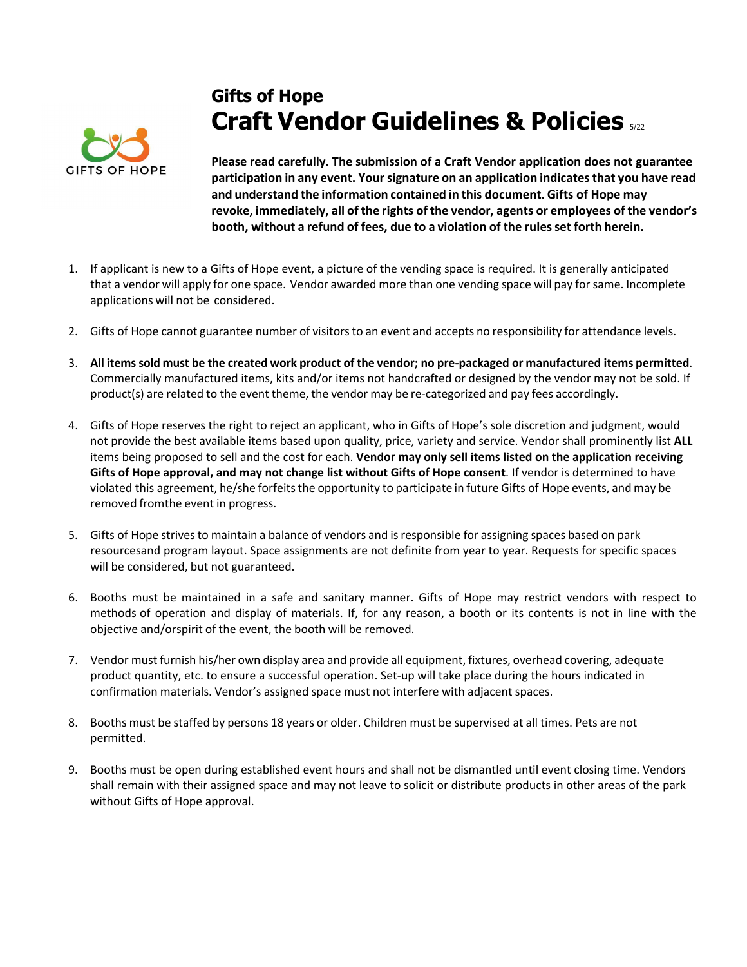

## **Gifts of Hope Craft Vendor Guidelines & Policies**  $_{522}$

**Please read carefully. The submission of a Craft Vendor application does not guarantee participation in any event. Your signature on an application indicatesthat you have read and understand the information contained in this document. Gifts of Hope may revoke, immediately, all of the rights of the vendor, agents or employees of the vendor's booth, without a refund of fees, due to a violation of the rules set forth herein.**

- 1. If applicant is new to a Gifts of Hope event, a picture of the vending space is required. It is generally anticipated that a vendor will apply for one space. Vendor awarded more than one vending space will pay for same. Incomplete applications will not be considered.
- 2. Gifts of Hope cannot guarantee number of visitors to an event and accepts no responsibility for attendance levels.
- 3. **All itemssold must be the created work product of the vendor; no pre-packaged or manufactured items permitted**. Commercially manufactured items, kits and/or items not handcrafted or designed by the vendor may not be sold. If product(s) are related to the event theme, the vendor may be re-categorized and pay fees accordingly.
- 4. Gifts of Hope reserves the right to reject an applicant, who in Gifts of Hope's sole discretion and judgment, would not provide the best available items based upon quality, price, variety and service. Vendor shall prominently list **ALL** items being proposed to sell and the cost for each. **Vendor may only sell items listed on the application receiving Gifts of Hope approval, and may not change list without Gifts of Hope consent**. If vendor is determined to have violated this agreement, he/she forfeits the opportunity to participate in future Gifts of Hope events, and may be removed from the event in progress.
- 5. Gifts of Hope strives to maintain a balance of vendors and is responsible for assigning spaces based on park resources and program layout. Space assignments are not definite from year to year. Requests for specific spaces will be considered, but not guaranteed.
- 6. Booths must be maintained in a safe and sanitary manner. Gifts of Hope may restrict vendors with respect to methods of operation and display of materials. If, for any reason, a booth or its contents is not in line with the objective and/orspirit of the event, the booth will be removed.
- 7. Vendor must furnish his/her own display area and provide all equipment, fixtures, overhead covering, adequate product quantity, etc. to ensure a successful operation. Set-up will take place during the hours indicated in confirmation materials. Vendor's assigned space must not interfere with adjacent spaces.
- 8. Booths must be staffed by persons 18 years or older. Children must be supervised at all times. Pets are not permitted.
- 9. Booths must be open during established event hours and shall not be dismantled until event closing time. Vendors shall remain with their assigned space and may not leave to solicit or distribute products in other areas of the park without Gifts of Hope approval.